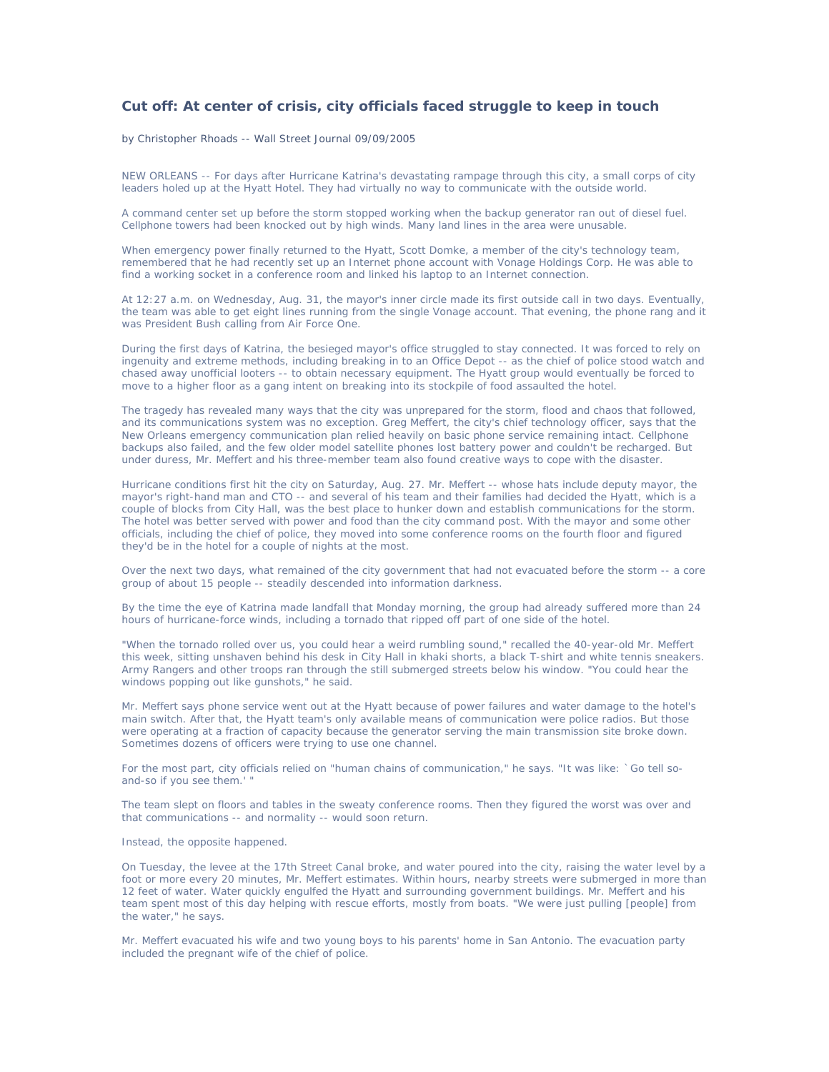## **Cut off: At center of crisis, city officials faced struggle to keep in touch**

## by Christopher Rhoads -- Wall Street Journal 09/09/2005

NEW ORLEANS -- For days after Hurricane Katrina's devastating rampage through this city, a small corps of city leaders holed up at the Hyatt Hotel. They had virtually no way to communicate with the outside world.

A command center set up before the storm stopped working when the backup generator ran out of diesel fuel. Cellphone towers had been knocked out by high winds. Many land lines in the area were unusable.

When emergency power finally returned to the Hyatt, Scott Domke, a member of the city's technology team, remembered that he had recently set up an Internet phone account with Vonage Holdings Corp. He was able to find a working socket in a conference room and linked his laptop to an Internet connection.

At 12:27 a.m. on Wednesday, Aug. 31, the mayor's inner circle made its first outside call in two days. Eventually, the team was able to get eight lines running from the single Vonage account. That evening, the phone rang and it was President Bush calling from Air Force One.

During the first days of Katrina, the besieged mayor's office struggled to stay connected. It was forced to rely on ingenuity and extreme methods, including breaking in to an Office Depot -- as the chief of police stood watch and chased away unofficial looters -- to obtain necessary equipment. The Hyatt group would eventually be forced to move to a higher floor as a gang intent on breaking into its stockpile of food assaulted the hotel.

The tragedy has revealed many ways that the city was unprepared for the storm, flood and chaos that followed, and its communications system was no exception. Greg Meffert, the city's chief technology officer, says that the New Orleans emergency communication plan relied heavily on basic phone service remaining intact. Cellphone backups also failed, and the few older model satellite phones lost battery power and couldn't be recharged. But under duress, Mr. Meffert and his three-member team also found creative ways to cope with the disaster.

Hurricane conditions first hit the city on Saturday, Aug. 27. Mr. Meffert -- whose hats include deputy mayor, the mayor's right-hand man and CTO -- and several of his team and their families had decided the Hyatt, which is a couple of blocks from City Hall, was the best place to hunker down and establish communications for the storm. The hotel was better served with power and food than the city command post. With the mayor and some other officials, including the chief of police, they moved into some conference rooms on the fourth floor and figured they'd be in the hotel for a couple of nights at the most.

Over the next two days, what remained of the city government that had not evacuated before the storm -- a core group of about 15 people -- steadily descended into information darkness.

By the time the eye of Katrina made landfall that Monday morning, the group had already suffered more than 24 hours of hurricane-force winds, including a tornado that ripped off part of one side of the hotel.

"When the tornado rolled over us, you could hear a weird rumbling sound," recalled the 40-year-old Mr. Meffert this week, sitting unshaven behind his desk in City Hall in khaki shorts, a black T-shirt and white tennis sneakers. Army Rangers and other troops ran through the still submerged streets below his window. "You could hear the windows popping out like gunshots," he said.

Mr. Meffert says phone service went out at the Hyatt because of power failures and water damage to the hotel's main switch. After that, the Hyatt team's only available means of communication were police radios. But those were operating at a fraction of capacity because the generator serving the main transmission site broke down. Sometimes dozens of officers were trying to use one channel.

For the most part, city officials relied on "human chains of communication," he says. "It was like: `Go tell soand-so if you see them.' "

The team slept on floors and tables in the sweaty conference rooms. Then they figured the worst was over and that communications -- and normality -- would soon return.

## Instead, the opposite happened.

On Tuesday, the levee at the 17th Street Canal broke, and water poured into the city, raising the water level by a foot or more every 20 minutes, Mr. Meffert estimates. Within hours, nearby streets were submerged in more than 12 feet of water. Water quickly engulfed the Hyatt and surrounding government buildings. Mr. Meffert and his team spent most of this day helping with rescue efforts, mostly from boats. "We were just pulling [people] from the water," he says.

Mr. Meffert evacuated his wife and two young boys to his parents' home in San Antonio. The evacuation party included the pregnant wife of the chief of police.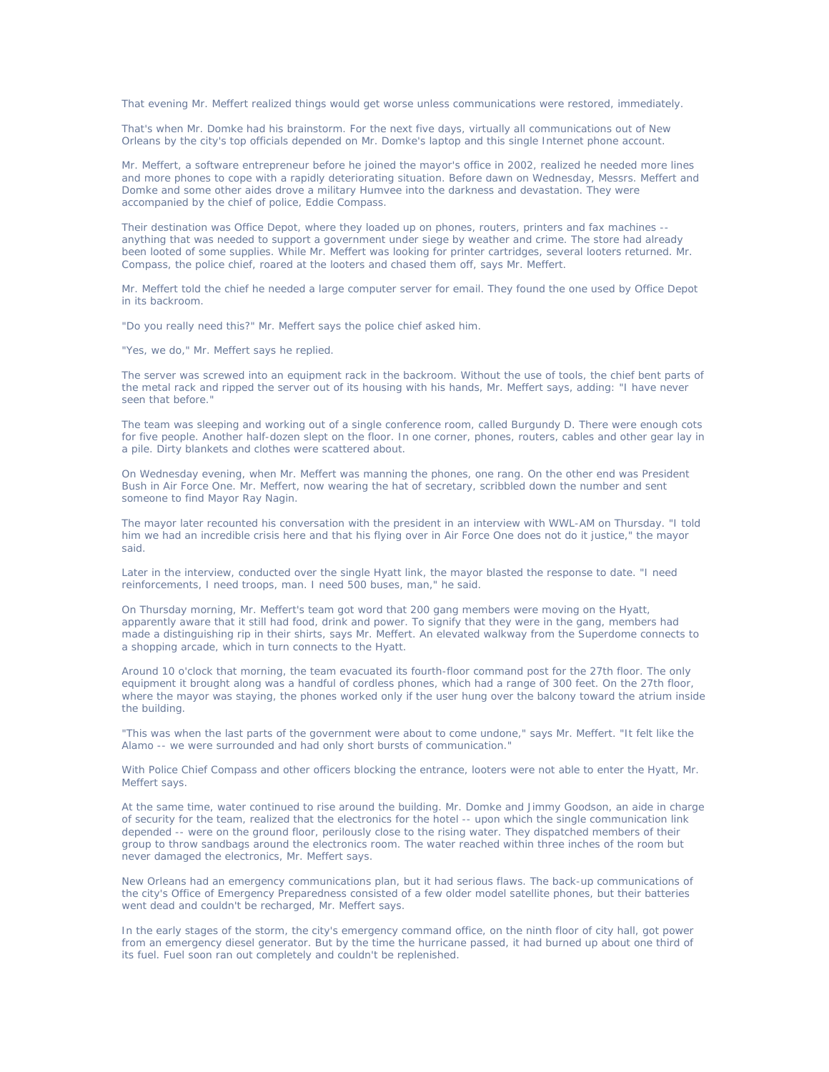That evening Mr. Meffert realized things would get worse unless communications were restored, immediately.

That's when Mr. Domke had his brainstorm. For the next five days, virtually all communications out of New Orleans by the city's top officials depended on Mr. Domke's laptop and this single Internet phone account.

Mr. Meffert, a software entrepreneur before he joined the mayor's office in 2002, realized he needed more lines and more phones to cope with a rapidly deteriorating situation. Before dawn on Wednesday, Messrs. Meffert and Domke and some other aides drove a military Humvee into the darkness and devastation. They were accompanied by the chief of police, Eddie Compass.

Their destination was Office Depot, where they loaded up on phones, routers, printers and fax machines - anything that was needed to support a government under siege by weather and crime. The store had already been looted of some supplies. While Mr. Meffert was looking for printer cartridges, several looters returned. Mr. Compass, the police chief, roared at the looters and chased them off, says Mr. Meffert.

Mr. Meffert told the chief he needed a large computer server for email. They found the one used by Office Depot in its backroom.

"Do you really need this?" Mr. Meffert says the police chief asked him.

"Yes, we do," Mr. Meffert says he replied.

The server was screwed into an equipment rack in the backroom. Without the use of tools, the chief bent parts of the metal rack and ripped the server out of its housing with his hands, Mr. Meffert says, adding: "I have never seen that before."

The team was sleeping and working out of a single conference room, called Burgundy D. There were enough cots for five people. Another half-dozen slept on the floor. In one corner, phones, routers, cables and other gear lay in a pile. Dirty blankets and clothes were scattered about.

On Wednesday evening, when Mr. Meffert was manning the phones, one rang. On the other end was President Bush in Air Force One. Mr. Meffert, now wearing the hat of secretary, scribbled down the number and sent someone to find Mayor Ray Nagin.

The mayor later recounted his conversation with the president in an interview with WWL-AM on Thursday. "I told him we had an incredible crisis here and that his flying over in Air Force One does not do it justice," the mayor said.

Later in the interview, conducted over the single Hyatt link, the mayor blasted the response to date. "I need reinforcements, I need troops, man. I need 500 buses, man," he said.

On Thursday morning, Mr. Meffert's team got word that 200 gang members were moving on the Hyatt, apparently aware that it still had food, drink and power. To signify that they were in the gang, members had made a distinguishing rip in their shirts, says Mr. Meffert. An elevated walkway from the Superdome connects to a shopping arcade, which in turn connects to the Hyatt.

Around 10 o'clock that morning, the team evacuated its fourth-floor command post for the 27th floor. The only equipment it brought along was a handful of cordless phones, which had a range of 300 feet. On the 27th floor, where the mayor was staying, the phones worked only if the user hung over the balcony toward the atrium inside the building.

"This was when the last parts of the government were about to come undone," says Mr. Meffert. "It felt like the Alamo -- we were surrounded and had only short bursts of communication."

With Police Chief Compass and other officers blocking the entrance, looters were not able to enter the Hyatt, Mr. Meffert says.

At the same time, water continued to rise around the building. Mr. Domke and Jimmy Goodson, an aide in charge of security for the team, realized that the electronics for the hotel -- upon which the single communication link depended -- were on the ground floor, perilously close to the rising water. They dispatched members of their group to throw sandbags around the electronics room. The water reached within three inches of the room but never damaged the electronics, Mr. Meffert says.

New Orleans had an emergency communications plan, but it had serious flaws. The back-up communications of the city's Office of Emergency Preparedness consisted of a few older model satellite phones, but their batteries went dead and couldn't be recharged, Mr. Meffert says.

In the early stages of the storm, the city's emergency command office, on the ninth floor of city hall, got power from an emergency diesel generator. But by the time the hurricane passed, it had burned up about one third of its fuel. Fuel soon ran out completely and couldn't be replenished.